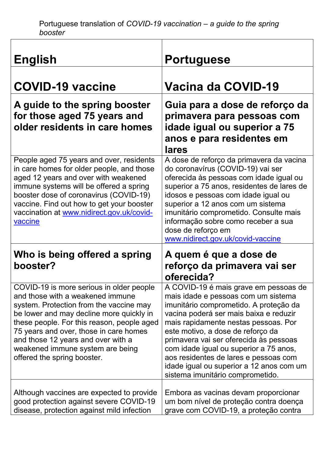$\overline{\mathsf{I}}$ 

| <b>English</b>                                                                                                                                                                                                                                                                                                                                                       | <b>Portuguese</b>                                                                                                                                                                                                                                                                                                                                                                                                                                          |
|----------------------------------------------------------------------------------------------------------------------------------------------------------------------------------------------------------------------------------------------------------------------------------------------------------------------------------------------------------------------|------------------------------------------------------------------------------------------------------------------------------------------------------------------------------------------------------------------------------------------------------------------------------------------------------------------------------------------------------------------------------------------------------------------------------------------------------------|
| <b>COVID-19 vaccine</b>                                                                                                                                                                                                                                                                                                                                              | Vacina da COVID-19                                                                                                                                                                                                                                                                                                                                                                                                                                         |
| A guide to the spring booster<br>for those aged 75 years and<br>older residents in care homes                                                                                                                                                                                                                                                                        | Guia para a dose de reforço da<br>primavera para pessoas com<br>idade igual ou superior a 75<br>anos e para residentes em<br>lares                                                                                                                                                                                                                                                                                                                         |
| People aged 75 years and over, residents<br>in care homes for older people, and those<br>aged 12 years and over with weakened<br>immune systems will be offered a spring<br>booster dose of coronavirus (COVID-19)<br>vaccine. Find out how to get your booster<br>vaccination at www.nidirect.gov.uk/covid-<br>vaccine                                              | A dose de reforço da primavera da vacina<br>do coronavírus (COVID-19) vai ser<br>oferecida às pessoas com idade igual ou<br>superior a 75 anos, residentes de lares de<br>idosos e pessoas com idade igual ou<br>superior a 12 anos com um sistema<br>imunitário comprometido. Consulte mais<br>informação sobre como receber a sua<br>dose de reforço em<br>www.nidirect.gov.uk/covid-vaccine                                                             |
| Who is being offered a spring<br>booster?                                                                                                                                                                                                                                                                                                                            | A quem é que a dose de<br>reforço da primavera vai ser<br>oferecida?                                                                                                                                                                                                                                                                                                                                                                                       |
| COVID-19 is more serious in older people<br>and those with a weakened immune<br>system. Protection from the vaccine may<br>be lower and may decline more quickly in<br>these people. For this reason, people aged<br>75 years and over, those in care homes<br>and those 12 years and over with a<br>weakened immune system are being<br>offered the spring booster. | A COVID-19 é mais grave em pessoas de<br>mais idade e pessoas com um sistema<br>imunitário comprometido. A proteção da<br>vacina poderá ser mais baixa e reduzir<br>mais rapidamente nestas pessoas. Por<br>este motivo, a dose de reforço da<br>primavera vai ser oferecida às pessoas<br>com idade igual ou superior a 75 anos,<br>aos residentes de lares e pessoas com<br>idade igual ou superior a 12 anos com um<br>sistema imunitário comprometido. |
| Although vaccines are expected to provide<br>good protection against severe COVID-19<br>disease, protection against mild infection                                                                                                                                                                                                                                   | Embora as vacinas devam proporcionar<br>um bom nível de proteção contra doença<br>grave com COVID-19, a proteção contra                                                                                                                                                                                                                                                                                                                                    |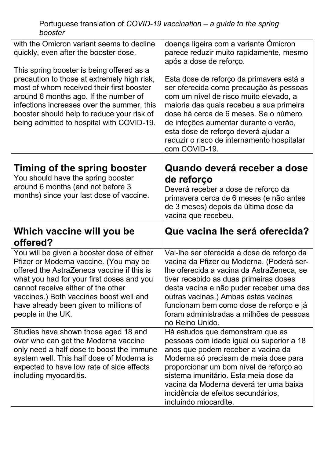| with the Omicron variant seems to decline<br>quickly, even after the booster dose.<br>This spring booster is being offered as a<br>precaution to those at extremely high risk,<br>most of whom received their first booster<br>around 6 months ago. If the number of<br>infections increases over the summer, this<br>booster should help to reduce your risk of<br>being admitted to hospital with COVID-19. | doença ligeira com a variante Omicron<br>parece reduzir muito rapidamente, mesmo<br>após a dose de reforço.<br>Esta dose de reforço da primavera está a<br>ser oferecida como precaução às pessoas<br>com um nível de risco muito elevado, a<br>maioria das quais recebeu a sua primeira<br>dose há cerca de 6 meses. Se o número<br>de infeções aumentar durante o verão,<br>esta dose de reforço deverá ajudar a<br>reduzir o risco de internamento hospitalar<br>com COVID-19. |
|---------------------------------------------------------------------------------------------------------------------------------------------------------------------------------------------------------------------------------------------------------------------------------------------------------------------------------------------------------------------------------------------------------------|-----------------------------------------------------------------------------------------------------------------------------------------------------------------------------------------------------------------------------------------------------------------------------------------------------------------------------------------------------------------------------------------------------------------------------------------------------------------------------------|
| Timing of the spring booster<br>You should have the spring booster<br>around 6 months (and not before 3<br>months) since your last dose of vaccine.                                                                                                                                                                                                                                                           | Quando deverá receber a dose<br>de reforço<br>Deverá receber a dose de reforço da<br>primavera cerca de 6 meses (e não antes<br>de 3 meses) depois da última dose da<br>vacina que recebeu.                                                                                                                                                                                                                                                                                       |
|                                                                                                                                                                                                                                                                                                                                                                                                               |                                                                                                                                                                                                                                                                                                                                                                                                                                                                                   |
| Which vaccine will you be<br>offered?                                                                                                                                                                                                                                                                                                                                                                         | Que vacina lhe será oferecida?                                                                                                                                                                                                                                                                                                                                                                                                                                                    |
| You will be given a booster dose of either<br>Pfizer or Moderna vaccine. (You may be<br>offered the AstraZeneca vaccine if this is<br>what you had for your first doses and you<br>cannot receive either of the other<br>vaccines.) Both vaccines boost well and<br>have already been given to millions of<br>people in the UK.                                                                               | Vai-lhe ser oferecida a dose de reforço da<br>vacina da Pfizer ou Moderna. (Poderá ser-<br>lhe oferecida a vacina da AstraZeneca, se<br>tiver recebido as duas primeiras doses<br>desta vacina e não puder receber uma das<br>outras vacinas.) Ambas estas vacinas<br>funcionam bem como dose de reforço e já<br>foram administradas a milhões de pessoas<br>no Reino Unido.                                                                                                      |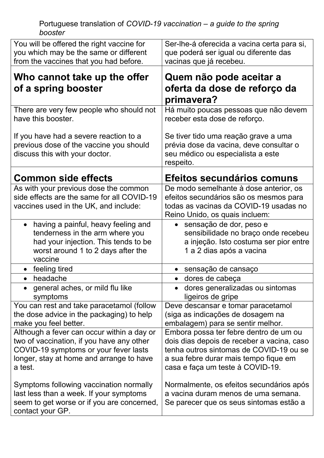| You will be offered the right vaccine for<br>you which may be the same or different<br>from the vaccines that you had before.                                                                                                                                                                                                                   | Ser-lhe-á oferecida a vacina certa para si,<br>que poderá ser igual ou diferente das<br>vacinas que já recebeu.                                                                                                                                                                                                                            |
|-------------------------------------------------------------------------------------------------------------------------------------------------------------------------------------------------------------------------------------------------------------------------------------------------------------------------------------------------|--------------------------------------------------------------------------------------------------------------------------------------------------------------------------------------------------------------------------------------------------------------------------------------------------------------------------------------------|
| Who cannot take up the offer<br>of a spring booster                                                                                                                                                                                                                                                                                             | Quem não pode aceitar a<br>oferta da dose de reforço da<br>primavera?                                                                                                                                                                                                                                                                      |
| There are very few people who should not<br>have this booster.                                                                                                                                                                                                                                                                                  | Há muito poucas pessoas que não devem<br>receber esta dose de reforço.                                                                                                                                                                                                                                                                     |
| If you have had a severe reaction to a<br>previous dose of the vaccine you should<br>discuss this with your doctor.                                                                                                                                                                                                                             | Se tiver tido uma reação grave a uma<br>prévia dose da vacina, deve consultar o<br>seu médico ou especialista a este<br>respeito.                                                                                                                                                                                                          |
| <b>Common side effects</b>                                                                                                                                                                                                                                                                                                                      | Efeitos secundários comuns                                                                                                                                                                                                                                                                                                                 |
| As with your previous dose the common<br>side effects are the same for all COVID-19<br>vaccines used in the UK, and include:                                                                                                                                                                                                                    | De modo semelhante à dose anterior, os<br>efeitos secundários são os mesmos para<br>todas as vacinas da COVID-19 usadas no<br>Reino Unido, os quais incluem:                                                                                                                                                                               |
| • having a painful, heavy feeling and<br>tenderness in the arm where you<br>had your injection. This tends to be<br>worst around 1 to 2 days after the<br>vaccine                                                                                                                                                                               | sensação de dor, peso e<br>$\bullet$<br>sensibilidade no braço onde recebeu<br>a injeção. Isto costuma ser pior entre<br>1 a 2 dias após a vacina                                                                                                                                                                                          |
| feeling tired                                                                                                                                                                                                                                                                                                                                   | sensação de cansaço<br>$\bullet$                                                                                                                                                                                                                                                                                                           |
| headache<br>$\bullet$                                                                                                                                                                                                                                                                                                                           | dores de cabeça                                                                                                                                                                                                                                                                                                                            |
| general aches, or mild flu like<br>symptoms                                                                                                                                                                                                                                                                                                     | dores generalizadas ou sintomas<br>ligeiros de gripe                                                                                                                                                                                                                                                                                       |
| You can rest and take paracetamol (follow<br>the dose advice in the packaging) to help<br>make you feel better.                                                                                                                                                                                                                                 | Deve descansar e tomar paracetamol<br>(siga as indicações de dosagem na<br>embalagem) para se sentir melhor.                                                                                                                                                                                                                               |
| Although a fever can occur within a day or<br>two of vaccination, if you have any other<br>COVID-19 symptoms or your fever lasts<br>longer, stay at home and arrange to have<br>a test.<br>Symptoms following vaccination normally<br>last less than a week. If your symptoms<br>seem to get worse or if you are concerned,<br>contact your GP. | Embora possa ter febre dentro de um ou<br>dois dias depois de receber a vacina, caso<br>tenha outros sintomas de COVID-19 ou se<br>a sua febre durar mais tempo fique em<br>casa e faça um teste à COVID-19.<br>Normalmente, os efeitos secundários após<br>a vacina duram menos de uma semana.<br>Se parecer que os seus sintomas estão a |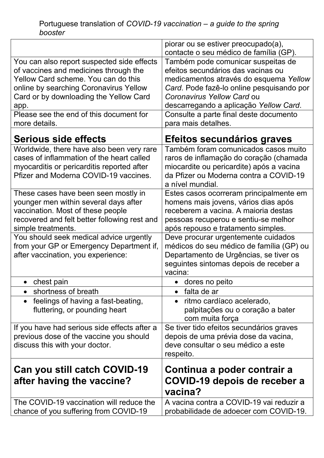|                                                 | piorar ou se estiver preocupado(a),       |
|-------------------------------------------------|-------------------------------------------|
|                                                 | contacte o seu médico de família (GP).    |
| You can also report suspected side effects      | Também pode comunicar suspeitas de        |
| of vaccines and medicines through the           | efeitos secundários das vacinas ou        |
| Yellow Card scheme. You can do this             | medicamentos através do esquema Yellow    |
| online by searching Coronavirus Yellow          | Card. Pode fazê-lo online pesquisando por |
| Card or by downloading the Yellow Card          | Coronavirus Yellow Card ou                |
| app.                                            | descarregando a aplicação Yellow Card.    |
| Please see the end of this document for         | Consulte a parte final deste documento    |
| more details.                                   | para mais detalhes.                       |
| Serious side effects                            | Efeitos secundários graves                |
| Worldwide, there have also been very rare       | Também foram comunicados casos muito      |
| cases of inflammation of the heart called       | raros de inflamação do coração (chamada   |
| myocarditis or pericarditis reported after      | miocardite ou pericardite) após a vacina  |
| Pfizer and Moderna COVID-19 vaccines.           | da Pfizer ou Moderna contra a COVID-19    |
|                                                 | a nível mundial.                          |
| These cases have been seen mostly in            | Estes casos ocorreram principalmente em   |
| younger men within several days after           | homens mais jovens, vários dias após      |
| vaccination. Most of these people               | receberem a vacina. A maioria destas      |
| recovered and felt better following rest and    | pessoas recuperou e sentiu-se melhor      |
| simple treatments.                              | após repouso e tratamento simples.        |
| You should seek medical advice urgently         | Deve procurar urgentemente cuidados       |
| from your GP or Emergency Department if,        | médicos do seu médico de família (GP) ou  |
| after vaccination, you experience:              | Departamento de Urgências, se tiver os    |
|                                                 | seguintes sintomas depois de receber a    |
|                                                 | vacina:                                   |
| • chest pain                                    | • dores no peito                          |
| shortness of breath                             | falta de ar<br>$\bullet$                  |
| feelings of having a fast-beating,<br>$\bullet$ | ritmo cardíaco acelerado,                 |
| fluttering, or pounding heart                   | palpitações ou o coração a bater          |
|                                                 | com muita força                           |
| If you have had serious side effects after a    | Se tiver tido efeitos secundários graves  |
| previous dose of the vaccine you should         | depois de uma prévia dose da vacina,      |
| discuss this with your doctor.                  | deve consultar o seu médico a este        |
|                                                 | respeito.                                 |
| Can you still catch COVID-19                    | Continua a poder contrair a               |
| after having the vaccine?                       | COVID-19 depois de receber a              |
|                                                 | vacina?                                   |
| The COVID-19 vaccination will reduce the        | A vacina contra a COVID-19 vai reduzir a  |
| chance of you suffering from COVID-19           | probabilidade de adoecer com COVID-19.    |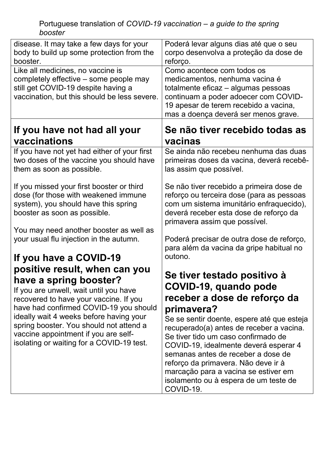| disease. It may take a few days for your                                                                                                                                                                                                                                                                                                                         | Poderá levar alguns dias até que o seu                                                                                                                                                                                                                                                                                                                                                                                                                  |
|------------------------------------------------------------------------------------------------------------------------------------------------------------------------------------------------------------------------------------------------------------------------------------------------------------------------------------------------------------------|---------------------------------------------------------------------------------------------------------------------------------------------------------------------------------------------------------------------------------------------------------------------------------------------------------------------------------------------------------------------------------------------------------------------------------------------------------|
| body to build up some protection from the                                                                                                                                                                                                                                                                                                                        | corpo desenvolva a proteção da dose de                                                                                                                                                                                                                                                                                                                                                                                                                  |
| booster.                                                                                                                                                                                                                                                                                                                                                         | reforço.                                                                                                                                                                                                                                                                                                                                                                                                                                                |
| Like all medicines, no vaccine is<br>completely effective – some people may<br>still get COVID-19 despite having a<br>vaccination, but this should be less severe.                                                                                                                                                                                               | Como acontece com todos os<br>medicamentos, nenhuma vacina é<br>totalmente eficaz – algumas pessoas<br>continuam a poder adoecer com COVID-<br>19 apesar de terem recebido a vacina,<br>mas a doença deverá ser menos grave.                                                                                                                                                                                                                            |
| If you have not had all your                                                                                                                                                                                                                                                                                                                                     | Se não tiver recebido todas as                                                                                                                                                                                                                                                                                                                                                                                                                          |
| vaccinations                                                                                                                                                                                                                                                                                                                                                     | vacinas                                                                                                                                                                                                                                                                                                                                                                                                                                                 |
| If you have not yet had either of your first                                                                                                                                                                                                                                                                                                                     | Se ainda não recebeu nenhuma das duas                                                                                                                                                                                                                                                                                                                                                                                                                   |
| two doses of the vaccine you should have                                                                                                                                                                                                                                                                                                                         | primeiras doses da vacina, deverá recebê-                                                                                                                                                                                                                                                                                                                                                                                                               |
| them as soon as possible.                                                                                                                                                                                                                                                                                                                                        | las assim que possível.                                                                                                                                                                                                                                                                                                                                                                                                                                 |
| If you missed your first booster or third<br>dose (for those with weakened immune<br>system), you should have this spring<br>booster as soon as possible.                                                                                                                                                                                                        | Se não tiver recebido a primeira dose de<br>reforço ou terceira dose (para as pessoas<br>com um sistema imunitário enfraquecido),<br>deverá receber esta dose de reforço da<br>primavera assim que possível.                                                                                                                                                                                                                                            |
| You may need another booster as well as                                                                                                                                                                                                                                                                                                                          | Poderá precisar de outra dose de reforço,                                                                                                                                                                                                                                                                                                                                                                                                               |
| your usual flu injection in the autumn.                                                                                                                                                                                                                                                                                                                          | para além da vacina da gripe habitual no                                                                                                                                                                                                                                                                                                                                                                                                                |
| If you have a COVID-19                                                                                                                                                                                                                                                                                                                                           | outono.                                                                                                                                                                                                                                                                                                                                                                                                                                                 |
| positive result, when can you<br>have a spring booster?<br>If you are unwell, wait until you have<br>recovered to have your vaccine. If you<br>have had confirmed COVID-19 you should<br>ideally wait 4 weeks before having your<br>spring booster. You should not attend a<br>vaccine appointment if you are self-<br>isolating or waiting for a COVID-19 test. | Se tiver testado positivo à<br>COVID-19, quando pode<br>receber a dose de reforço da<br>primavera?<br>Se se sentir doente, espere até que esteja<br>recuperado(a) antes de receber a vacina.<br>Se tiver tido um caso confirmado de<br>COVID-19, idealmente deverá esperar 4<br>semanas antes de receber a dose de<br>reforço da primavera. Não deve ir à<br>marcação para a vacina se estiver em<br>isolamento ou à espera de um teste de<br>COVID-19. |